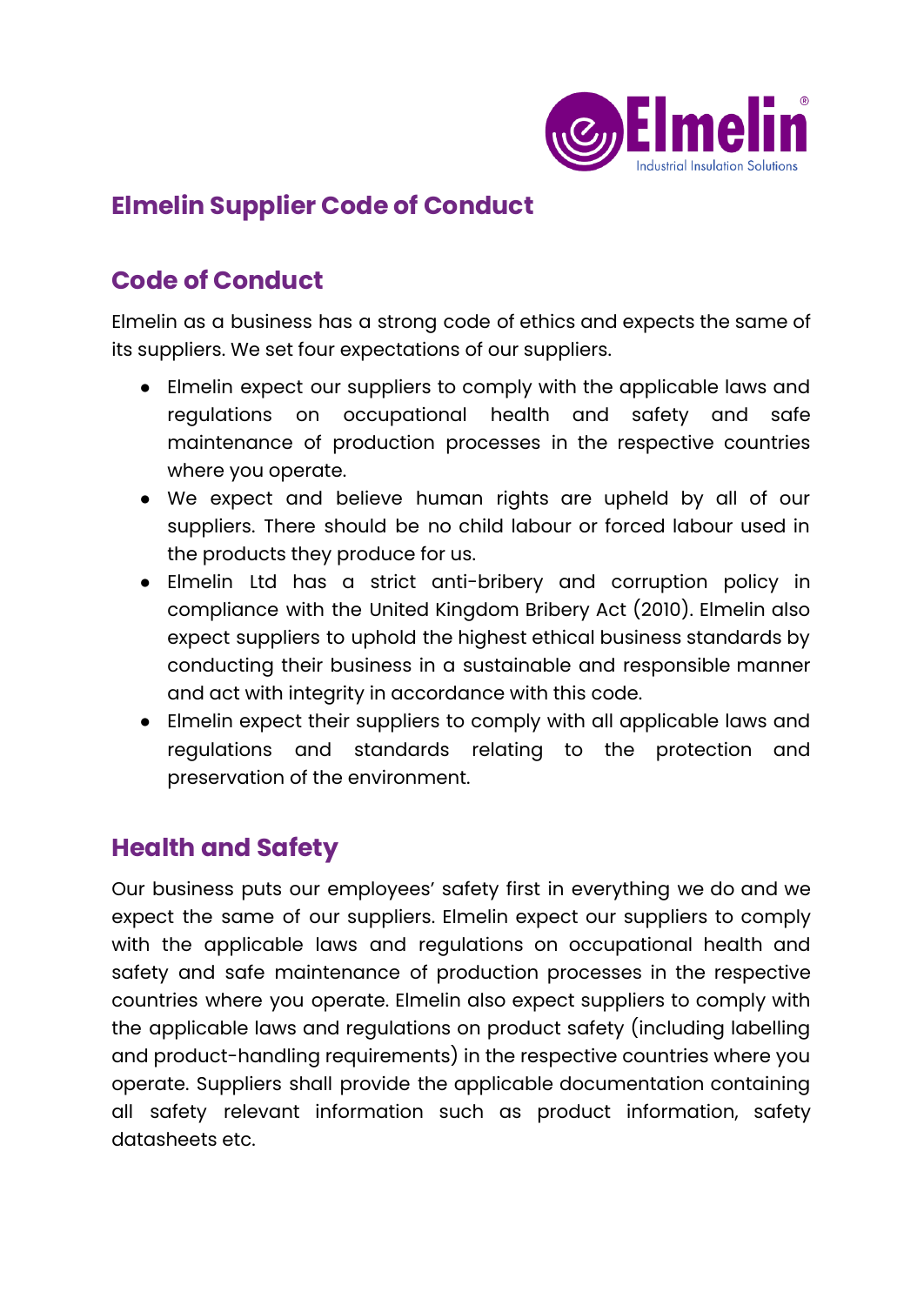

## **Elmelin Supplier Code of Conduct**

### **Code of Conduct**

Elmelin as a business has a strong code of ethics and expects the same of its suppliers. We set four expectations of our suppliers.

- Elmelin expect our suppliers to comply with the applicable laws and regulations on occupational health and safety and safe maintenance of production processes in the respective countries where you operate.
- We expect and believe human rights are upheld by all of our suppliers. There should be no child labour or forced labour used in the products they produce for us.
- Elmelin Ltd has a strict anti-bribery and corruption policy in compliance with the United Kingdom Bribery Act (2010). Elmelin also expect suppliers to uphold the highest ethical business standards by conducting their business in a sustainable and responsible manner and act with integrity in accordance with this code.
- Elmelin expect their suppliers to comply with all applicable laws and regulations and standards relating to the protection and preservation of the environment.

# **Health and Safety**

Our business puts our employees' safety first in everything we do and we expect the same of our suppliers. Elmelin expect our suppliers to comply with the applicable laws and regulations on occupational health and safety and safe maintenance of production processes in the respective countries where you operate. Elmelin also expect suppliers to comply with the applicable laws and regulations on product safety (including labelling and product-handling requirements) in the respective countries where you operate. Suppliers shall provide the applicable documentation containing all safety relevant information such as product information, safety datasheets etc.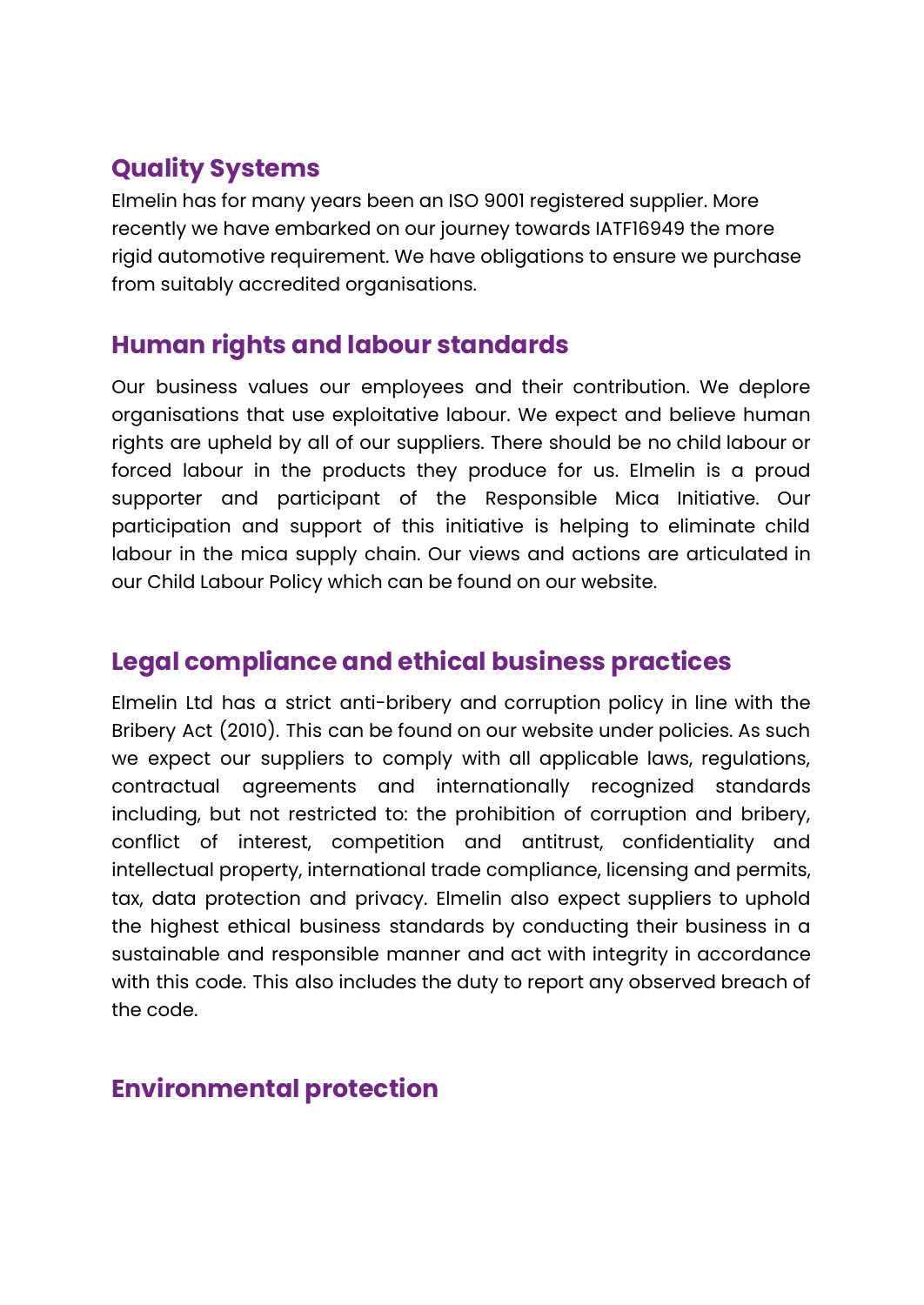# **Quality Systems**

Elmelin has for many years been an ISO 9001 registered supplier. More recently we have embarked on our journey towards IATF16949 the more rigid automotive requirement. We have obligations to ensure we purchase from suitably accredited organisations.

#### **Human rights and labour standards**

Our business values our employees and their contribution. We deplore organisations that use exploitative labour. We expect and believe human rights are upheld by all of our suppliers. There should be no child labour or forced labour in the products they produce for us. Elmelin is a proud supporter and participant of the Responsible Mica Initiative. Our participation and support of this initiative is helping to eliminate child labour in the mica supply chain. Our views and actions are articulated in our Child Labour Policy which can be found on our website.

### **Legal compliance and ethical business practices**

Elmelin Ltd has a strict anti-bribery and corruption policy in line with the Bribery Act (2010). This can be found on our website under policies. As such we expect our suppliers to comply with all applicable laws, regulations, contractual agreements and internationally recognized standards including, but not restricted to: the prohibition of corruption and bribery, conflict of interest, competition and antitrust, confidentiality and intellectual property, international trade compliance, licensing and permits, tax, data protection and privacy. Elmelin also expect suppliers to uphold the highest ethical business standards by conducting their business in a sustainable and responsible manner and act with integrity in accordance with this code. This also includes the duty to report any observed breach of the code.

#### **Environmental protection**